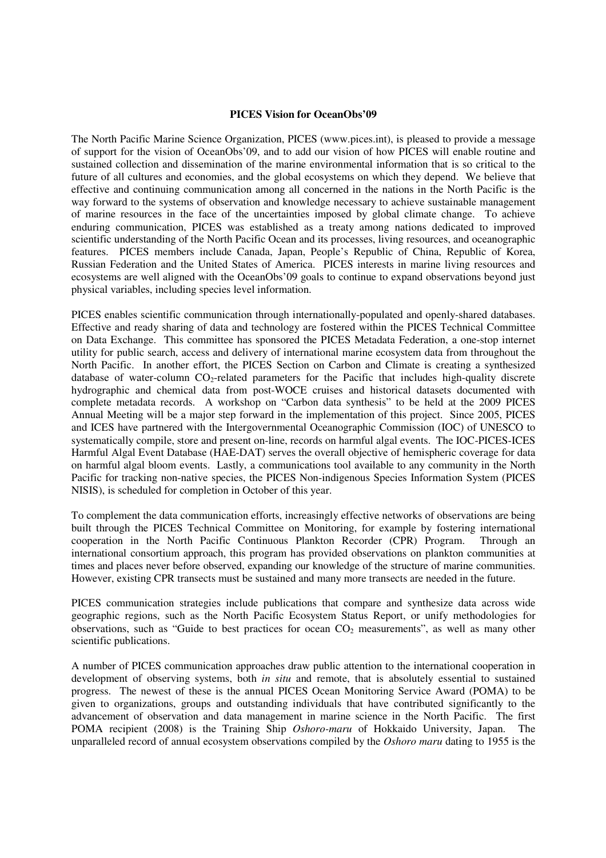## **PICES Vision for OceanObs'09**

The North Pacific Marine Science Organization, PICES (www.pices.int), is pleased to provide a message of support for the vision of OceanObs'09, and to add our vision of how PICES will enable routine and sustained collection and dissemination of the marine environmental information that is so critical to the future of all cultures and economies, and the global ecosystems on which they depend. We believe that effective and continuing communication among all concerned in the nations in the North Pacific is the way forward to the systems of observation and knowledge necessary to achieve sustainable management of marine resources in the face of the uncertainties imposed by global climate change. To achieve enduring communication, PICES was established as a treaty among nations dedicated to improved scientific understanding of the North Pacific Ocean and its processes, living resources, and oceanographic features. PICES members include Canada, Japan, People's Republic of China, Republic of Korea, Russian Federation and the United States of America. PICES interests in marine living resources and ecosystems are well aligned with the OceanObs'09 goals to continue to expand observations beyond just physical variables, including species level information.

PICES enables scientific communication through internationally-populated and openly-shared databases. Effective and ready sharing of data and technology are fostered within the PICES Technical Committee on Data Exchange. This committee has sponsored the PICES Metadata Federation, a one-stop internet utility for public search, access and delivery of international marine ecosystem data from throughout the North Pacific. In another effort, the PICES Section on Carbon and Climate is creating a synthesized database of water-column  $CO<sub>2</sub>$ -related parameters for the Pacific that includes high-quality discrete hydrographic and chemical data from post-WOCE cruises and historical datasets documented with complete metadata records. A workshop on "Carbon data synthesis" to be held at the 2009 PICES Annual Meeting will be a major step forward in the implementation of this project. Since 2005, PICES and ICES have partnered with the Intergovernmental Oceanographic Commission (IOC) of UNESCO to systematically compile, store and present on-line, records on harmful algal events. The IOC-PICES-ICES Harmful Algal Event Database (HAE-DAT) serves the overall objective of hemispheric coverage for data on harmful algal bloom events. Lastly, a communications tool available to any community in the North Pacific for tracking non-native species, the PICES Non-indigenous Species Information System (PICES NISIS), is scheduled for completion in October of this year.

To complement the data communication efforts, increasingly effective networks of observations are being built through the PICES Technical Committee on Monitoring, for example by fostering international cooperation in the North Pacific Continuous Plankton Recorder (CPR) Program. Through an international consortium approach, this program has provided observations on plankton communities at times and places never before observed, expanding our knowledge of the structure of marine communities. However, existing CPR transects must be sustained and many more transects are needed in the future.

PICES communication strategies include publications that compare and synthesize data across wide geographic regions, such as the North Pacific Ecosystem Status Report, or unify methodologies for observations, such as "Guide to best practices for ocean  $CO<sub>2</sub>$  measurements", as well as many other scientific publications.

A number of PICES communication approaches draw public attention to the international cooperation in development of observing systems, both *in situ* and remote, that is absolutely essential to sustained progress. The newest of these is the annual PICES Ocean Monitoring Service Award (POMA) to be given to organizations, groups and outstanding individuals that have contributed significantly to the advancement of observation and data management in marine science in the North Pacific. The first POMA recipient (2008) is the Training Ship *Oshoro-maru* of Hokkaido University, Japan. The unparalleled record of annual ecosystem observations compiled by the *Oshoro maru* dating to 1955 is the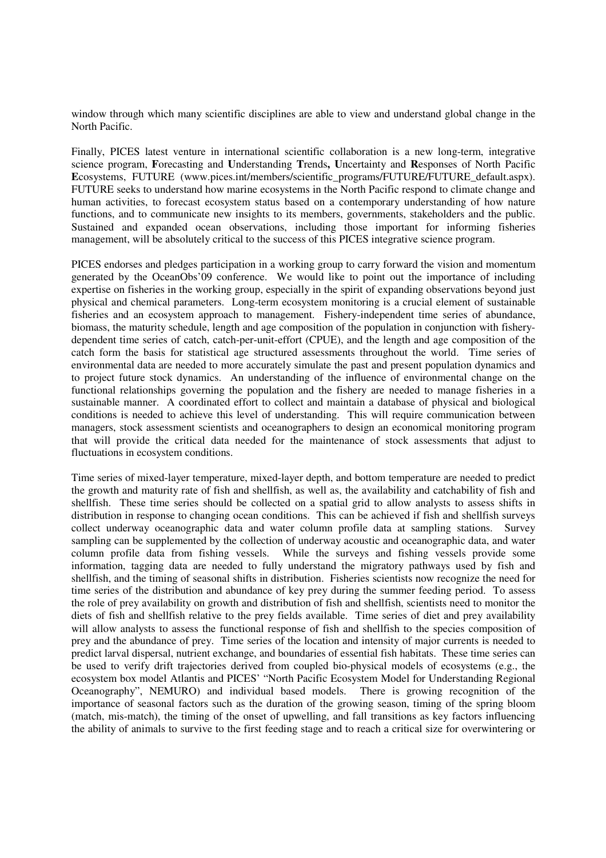window through which many scientific disciplines are able to view and understand global change in the North Pacific.

Finally, PICES latest venture in international scientific collaboration is a new long-term, integrative science program, **F**orecasting and **U**nderstanding **T**rends**, U**ncertainty and **R**esponses of North Pacific Ecosystems, FUTURE (www.pices.int/members/scientific\_programs/FUTURE/FUTURE\_default.aspx). FUTURE seeks to understand how marine ecosystems in the North Pacific respond to climate change and human activities, to forecast ecosystem status based on a contemporary understanding of how nature functions, and to communicate new insights to its members, governments, stakeholders and the public. Sustained and expanded ocean observations, including those important for informing fisheries management, will be absolutely critical to the success of this PICES integrative science program.

PICES endorses and pledges participation in a working group to carry forward the vision and momentum generated by the OceanObs'09 conference. We would like to point out the importance of including expertise on fisheries in the working group, especially in the spirit of expanding observations beyond just physical and chemical parameters. Long-term ecosystem monitoring is a crucial element of sustainable fisheries and an ecosystem approach to management. Fishery-independent time series of abundance, biomass, the maturity schedule, length and age composition of the population in conjunction with fisherydependent time series of catch, catch-per-unit-effort (CPUE), and the length and age composition of the catch form the basis for statistical age structured assessments throughout the world. Time series of environmental data are needed to more accurately simulate the past and present population dynamics and to project future stock dynamics. An understanding of the influence of environmental change on the functional relationships governing the population and the fishery are needed to manage fisheries in a sustainable manner. A coordinated effort to collect and maintain a database of physical and biological conditions is needed to achieve this level of understanding. This will require communication between managers, stock assessment scientists and oceanographers to design an economical monitoring program that will provide the critical data needed for the maintenance of stock assessments that adjust to fluctuations in ecosystem conditions.

Time series of mixed-layer temperature, mixed-layer depth, and bottom temperature are needed to predict the growth and maturity rate of fish and shellfish, as well as, the availability and catchability of fish and shellfish. These time series should be collected on a spatial grid to allow analysts to assess shifts in distribution in response to changing ocean conditions. This can be achieved if fish and shellfish surveys collect underway oceanographic data and water column profile data at sampling stations. Survey sampling can be supplemented by the collection of underway acoustic and oceanographic data, and water column profile data from fishing vessels. While the surveys and fishing vessels provide some information, tagging data are needed to fully understand the migratory pathways used by fish and shellfish, and the timing of seasonal shifts in distribution. Fisheries scientists now recognize the need for time series of the distribution and abundance of key prey during the summer feeding period. To assess the role of prey availability on growth and distribution of fish and shellfish, scientists need to monitor the diets of fish and shellfish relative to the prey fields available. Time series of diet and prey availability will allow analysts to assess the functional response of fish and shellfish to the species composition of prey and the abundance of prey. Time series of the location and intensity of major currents is needed to predict larval dispersal, nutrient exchange, and boundaries of essential fish habitats. These time series can be used to verify drift trajectories derived from coupled bio-physical models of ecosystems (e.g., the ecosystem box model Atlantis and PICES' "North Pacific Ecosystem Model for Understanding Regional Oceanography", NEMURO) and individual based models. There is growing recognition of the importance of seasonal factors such as the duration of the growing season, timing of the spring bloom (match, mis-match), the timing of the onset of upwelling, and fall transitions as key factors influencing the ability of animals to survive to the first feeding stage and to reach a critical size for overwintering or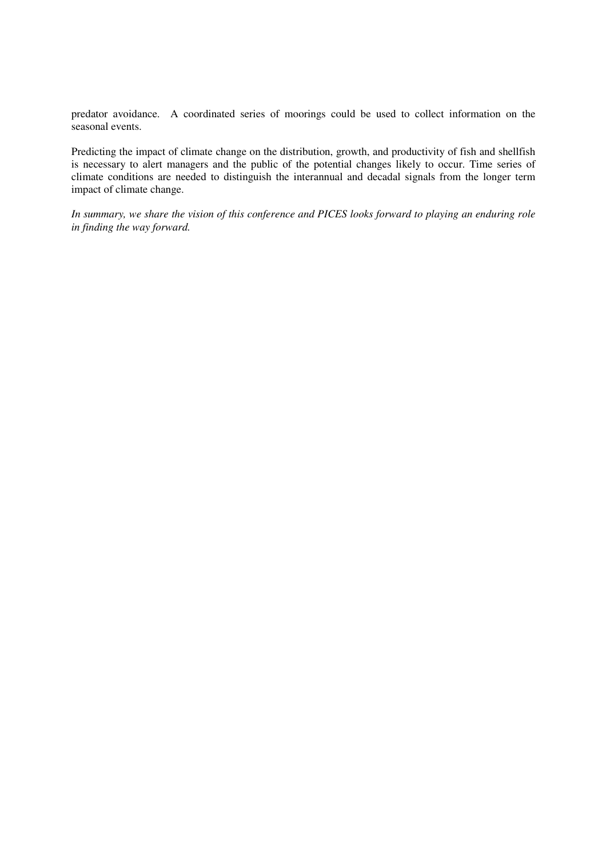predator avoidance. A coordinated series of moorings could be used to collect information on the seasonal events.

Predicting the impact of climate change on the distribution, growth, and productivity of fish and shellfish is necessary to alert managers and the public of the potential changes likely to occur. Time series of climate conditions are needed to distinguish the interannual and decadal signals from the longer term impact of climate change.

*In summary, we share the vision of this conference and PICES looks forward to playing an enduring role in finding the way forward.*